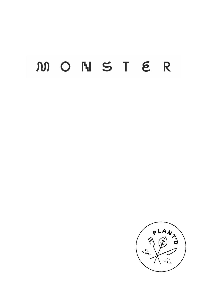# M O N S T E R

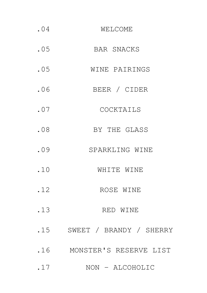| .04 | WELCOME                 |
|-----|-------------------------|
| .05 | <b>BAR SNACKS</b>       |
| .05 | WINE PAIRINGS           |
| .06 | BEER / CIDER            |
| .07 | COCKTAILS               |
| .08 | BY THE GLASS            |
| .09 | SPARKLING WINE          |
| .10 | WHITE WINE              |
| .12 | ROSE WINE               |
| .13 | RED WINE                |
| .15 | SWEET / BRANDY / SHERRY |
| .16 | MONSTER'S RESERVE LIST  |
| .17 | NON - ALCOHOLIC         |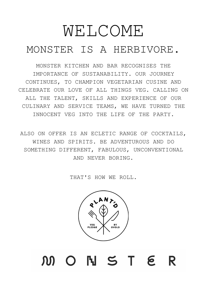# WELCOME MONSTER IS A HERBIVORE.

MONSTER KITCHEN AND BAR RECOGNISES THE IMPORTANCE OF SUSTANABILITY. OUR JOURNEY CONTINUES, TO CHAMPION VEGETARIAN CUSINE AND CELEBRATE OUR LOVE OF ALL THINGS VEG. CALLING ON ALL THE TALENT, SKILLS AND EXPERIENCE OF OUR CULINARY AND SERVICE TEAMS, WE HAVE TURNED THE INNOCENT VEG INTO THE LIFE OF THE PARTY.

ALSO ON OFFER IS AN ECLETIC RANGE OF COCKTAILS, WINES AND SPIRITS. BE ADVENTUROUS AND DO SOMETHING DIFFERENT, FABULOUS, UNCONVENTIONAL AND NEVER BORING.

THAT'S HOW WE ROLL.



M O N S T E R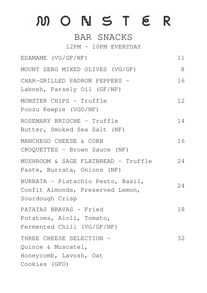# M O N S T E R

### BAR SNACKS

12PM - 10PM EVERYDAY

EDAMAME (VG/GF/NF) MOUNT ZERO MIXED OLIVES (VG/GF) CHAR-GRILLED PADRON PEPPERS - Labneh, Parsely Oil (GF/NF) MONSTER CHIPS - Truffle Ponzu Kewpie (VGO/NF) MANCHEGO CHEESE & CORN CROQUETTES - Brown Sauce (NF) MUSHROOM & SAGE FLATBREAD - Truffle Paste, Burrata, Onions (NF) BURRATA - Pistachio Pesto, Basil, Confit Almonds, Preserved Lemon, Sourdough Crisp PATATAS BRAVAS - Fried Potatoes, Aioli, Tomato, Fermented Chili (VG/GF/NF) THREE CHEESE SELECTION -Quince & Muscatel, Honeycomb, Lavosh, Oat Cookies (GFO) 11 8 16 12 14 16 24 24 18 ROSEMARY BRIOCHE - Truffle Butter, Smoked Sea Salt (NF) 32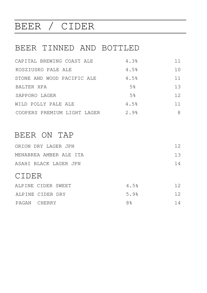# BEER / CIDER

### BEER TINNED AND BOTTLED

| CAPITAL BREWING COAST ALE   | 4.3%           | 11                |
|-----------------------------|----------------|-------------------|
| KOSZIUSKO PALE ALE          | 4.5%           | 10                |
| STONE AND WOOD PACIFIC ALE  | 4.5%           | 11                |
| BALTER XPA                  | 5 <sup>°</sup> | 13                |
| SAPPORO LAGER               | 5 <sup>°</sup> | $12 \overline{ }$ |
| WILD POLLY PALE ALE         | 4.5%           | 11                |
| COOPERS PREMIUM LIGHT LAGER | 2.9%           | 8                 |

### BEER ON TAP

| ORION DRY LAGER JPN    | 12 |
|------------------------|----|
| MENABREA AMBER ALE ITA | 13 |
| ASAHI BLACK LAGER JPN  | 14 |

### CIDER

|              | ALPINE CIDER SWEET | 4.5%           | 12  |
|--------------|--------------------|----------------|-----|
|              | ALPINE CIDER DRY   | 5.9%           | 12. |
| PAGAN CHERRY |                    | 8 <sup>o</sup> | 14  |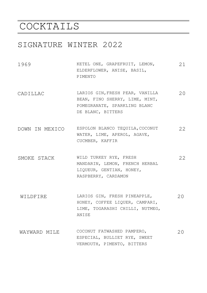# COCKTAILS

#### SIGNATURE WINTER 2022

- 1969 KETEL ONE, GRAPEFRUIT, LEMON, ELDERFLOWER, ANISE, BASIL, PIMENTO 21
- CADILLAC LARIOS GIN,FRESH PEAR, VANILLA BEAN, FINO SHERRY, LIME, MINT, POMEGRANATE, SPARKLING BLANC DE BLANC, BITTERS 20
- DOWN IN MEXICO ESPOLON BLANCO TEQUILA,COCONUT WATER, LIME, APEROL, AGAVE, CUCMBER, KAFFIR 22
- SMOKE STACK WILD TURKEY RYE, FRESH MANDARIN, LEMON, FRENCH HERBAL LIQUEUR, GENTIAN, HONEY, RASPBERRY, CARDAMON 22
- WILDFIRE LARIOS GIN, FRESH PINEAPPLE, HONEY, COFFEE LIQUER, CAMPARI, LIME, TOGARASHI CHILLI, NUTMEG, ANISE  $20$
- WAYWARD MILE COCONUT FATWASHED PAMPERO, ESPECIAL, BULLIET RYE, SWEET VERMOUTH, PIMENTO, BITTERS 20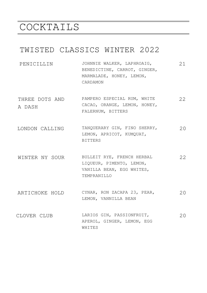# COCKTAILS

### TWISTED CLASSICS WINTER 2022

- PENICILLIN JOHNNIE WALKER, LAPHROAIG, BENEDICTINE, CARROT, GINGER, MARMALADE, HONEY, LEMON, CARDAMON 21
- THREE DOTS AND A DASH 22 PAMPERO ESPECIAL RUM, WHITE CACAO, ORANGE, LEMON, HONEY, FALERNUM, BITTERS
- LONDON CALLING TANQUERARY GIN, FINO SHERRY, LEMON, APRICOT, KUMQUAT, BITTERS 20
- WINTER NY SOUR BULLEIT RYE, FRENCH HERBAL LIQUEUR, PIMENTO, LEMON, VANILLA BEAN, EGG WHITES, TEMPRANILLO 22
- ARTICHOKE HOLD CYNAR, RON ZACAPA 23, PEAR, LEMON, VANNILLA BEAN 20
- CLOVER CLUB LARIOS GIN, PASSIONFRUIT, APEROL, GINGER, LEMON, EGG WHITES  $2.0$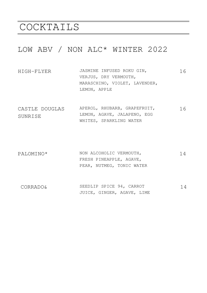# COCKTAILS

### LOW ABV / NON ALC\* WINTER 2022

| HIGH-FLYER | JASMINE INFUSED ROKU GIN,     | 16 |
|------------|-------------------------------|----|
|            | VERJUS, DRY VERMOUTH,         |    |
|            | MARASCHINO, VIOLET, LAVENDER, |    |
|            | LEMON, APPLE                  |    |

- CASTLE DOUGLAS SUNRISE APEROL, RHUBARB, GRAPEFRUIT, LEMON, AGAVE, JALAPENO, EGG WHITES, SPARKLING WATER 16
- PALOMINO\* NON ALCOHOLIC VERMOUTH, FRESH PINEAPPLE, AGAVE, PEAR, NUTMEG, TONIC WATER 14
- CORRADO& SEEDLIP SPICE 94, CARROT JUICE, GINGER, AGAVE, LIME 14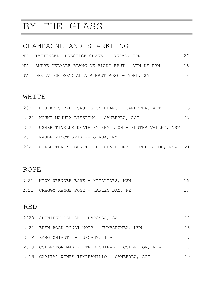# BY THE GLASS

### CHAMPAGNE AND SPARKLING

| NV TATTINGER PRESTIGE CUVEE - REIMS, FRN          | 27 |
|---------------------------------------------------|----|
| NV ANDRE DELMORE BLANC DE BLANC BRUT - VIN DE FRN | 16 |
| NV DEVIATION ROAD ALTAIR BRUT ROSE - ADEL, SA     | 18 |

#### WHITE

| 2021 BOURKE STREET SAUVIGNON BLANC - CANBERRA, ACT           | 16 |
|--------------------------------------------------------------|----|
| 2021 MOUNT MAJURA RIESLING - CANBERRA, ACT                   | 17 |
| 2021 USHER TINKLER DEATH BY SEMILLON - HUNTER VALLEY, NSW 16 |    |
| 2021 MAUDE PINOT GRIS -- OTAGA, NZ                           | 17 |
| 2021 COLLECTOR 'TIGER TIGER' CHARDONNAY - COLLECTOR, NSW 21  |    |

### ROSE

| 2021 NICK SPENCER ROSE - HIILLTOPS, NSW |  | 16 |
|-----------------------------------------|--|----|
| 2021 CRAGGY RANGE ROSE - HAWKES BAY, NZ |  | 18 |

### RED

| 2020 SPINIFEX GARCON - BAROSSA, SA                 | 18 |
|----------------------------------------------------|----|
| 2021 EDEN ROAD PINOT NOIR - TUMBARUMBA. NSW        | 16 |
| 2019 BABO CHIANTI - TUSCANY, ITA                   | 17 |
| 2019 COLLECTOR MARKED TREE SHIRAZ - COLLECTOR, NSW | 19 |
| 2019 CAPITAL WINES TEMPRANILLO - CANBERRA, ACT     | 19 |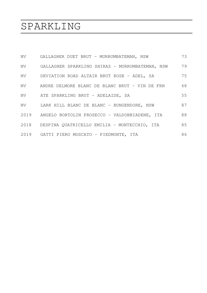# SPARKLING

|    | NV GALLAGHER DUET BRUT - MURRUMBATEMAN, NSW        | 73 |
|----|----------------------------------------------------|----|
| NV | GALLAGHER SPARKLING SHIRAZ - MURRUMBATEMAN, NSW    | 79 |
| NV | DEVIATION ROAD ALTAIR BRUT ROSE - ADEL, SA         | 75 |
|    | NV ANDRE DELMORE BLANC DE BLANC BRUT - VIN DE FRN  | 68 |
| NV | ATE SPARKLING BRUT - ADELAIDE, SA                  | 55 |
|    | NV LARK HILL BLANC DE BLANC - BUNGENDORE, NSW      | 87 |
|    | 2019 ANGELO BORTOLIN PROSECCO - VALDOBBIADENE, ITA | 88 |
|    | 2018 DESPINA QUATRICELLO EMILIA - MONTECCHIO, ITA  | 85 |
|    | 2019 GATTI PIERO MOSCATO - PIEDMONTE, ITA          | 86 |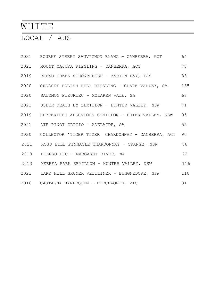# WHITE

### LOCAL / AUS

| 2021 BOURKE STREET SAUVIGNON BLANC - CANBERRA, ACT      | 64  |
|---------------------------------------------------------|-----|
| 2021 MOUNT MAJURA RIESLING - CANBERRA, ACT              | 78  |
| 2019 BREAM CREEK SCHONBURGER - MARION BAY, TAS          | 83  |
| 2020 GROSSET POLISH HILL RIESLING - CLARE VALLEY, SA    | 135 |
| 2020 SALOMON FLEURIEU - MCLAREN VALE, SA                | 68  |
| 2021 USHER DEATH BY SEMILLON - HUNTER VALLEY, NSW       | 71  |
| 2019 PEPPERTREE ALLUVIOUS SEMILLON - HUTER VALLEY, NSW  | 95  |
| 2021 ATE PINOT GRIGIO - ADELAIDE, SA                    | 55  |
| 2020 COLLECTOR 'TIGER TIGER' CHARDONNAY - CANBERRA, ACT | 90  |
| 2021 ROSS HILL PINNACLE CHARDONNAY - ORANGE, NSW        | 88  |
| 2018 PIERRO LTC - MARGARET RIVER, WA                    | 72  |
| 2013 MEEREA PARK SEMILLON - HUNTER VALLEY, NSW          | 116 |
| 2021 LARK HILL GRUNER VELTLINER - BUNGNEDORE, NSW       | 110 |
| 2016 CASTAGNA HARLEQUIN - BEECHWORTH, VIC               | 81  |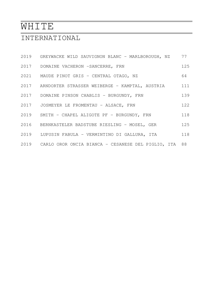# WHITE

### INTERNATIONAL

| 2019 GREYWACKE WILD SAUVIGNON BLANC - MARLBOROUGH, NZ      | 77  |
|------------------------------------------------------------|-----|
| 2017 DOMAINE VACHERON - SANCERRE, FRN                      | 125 |
| 2021 MAUDE PINOT GRIS - CENTRAL OTAGO, NZ                  | 64  |
| 2017 ARNDORTER STRASSER WEIBERGE - KAMPTAL, AUSTRIA        | 111 |
| 2017 DOMAINE PINSON CHABLIS - BURGUNDY, FRN                | 139 |
| 2017 JOSMEYER LE FROMENTAU - ALSACE, FRN                   | 122 |
| 2019 SMITH - CHAPEL ALIGOTE PF - BURGUNDY, FRN             | 118 |
| 2016 BERNKASTELER BADSTUBE RIESLING - MOSEL, GER           | 125 |
| 2019 LUPUSIN FABULA - VERMINTINO DI GALLURA, ITA           | 118 |
| 2019 CARLO OROR ONCIA BIANCA - CESANESE DEL PIGLIO, ITA 88 |     |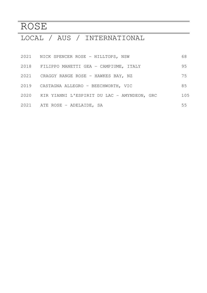# ROSE

# LOCAL / AUS / INTERNATIONAL

|      | 2021 NICK SPENCER ROSE - HILLTOPS, NSW           | 68  |
|------|--------------------------------------------------|-----|
| 2018 | FILIPPO MANETTI GEA - CAMPIUME, ITALY            | 95  |
| 2021 | CRAGGY RANGE ROSE - HAWKES BAY, NZ               | 75  |
|      | 2019 CASTAGNA ALLEGRO - BEECHWORTH, VIC          | 85  |
|      | 2020 KIR YIANNI L'ESPIRIT DU LAC - AMYNDEON, GRC | 105 |
|      | 2021 ATE ROSE - ADELAIDE, SA                     | 55  |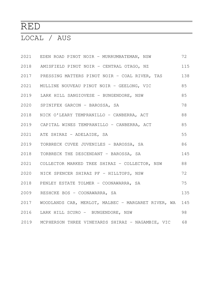# RED

# LOCAL / AUS

|      | 2021 EDEN ROAD PINOT NOIR - MURRUMBATEMAN, NSW              | 72  |
|------|-------------------------------------------------------------|-----|
|      | 2018 AMISFIELD PINOT NOIR - CENTRAL OTAGO, NZ               | 115 |
|      | 2017 PRESSING MATTERS PINOT NOIR - COAL RIVER, TAS          | 138 |
|      | 2021 MULLINE NOUVEAU PINOT NOIR - GEELONG, VIC              | 85  |
|      | 2019 LARK HILL SANGIOVESE - BUNGENDORE, NSW                 | 85  |
|      | 2020 SPINIFEX GARCON - BAROSSA, SA                          | 78  |
|      | 2018 NICK O'LEARY TEMPRANILLO - CANBERRA, ACT               | 88  |
|      | 2019 CAPITAL WINES TEMPRANILLO - CANBERRA, ACT              | 85  |
| 2021 | ATE SHIRAZ - ADELAIDE, SA                                   | 55  |
| 2019 | TORBRECK CUVEE JUVENILES - BAROSSA, SA                      | 86  |
| 2018 | TORBRECK THE DESCENDANT - BAROSSA, SA                       | 145 |
|      | 2021 COLLECTOR MARKED TREE SHIRAZ - COLLECTOR, NSW          | 88  |
|      | 2020 NICK SPENCER SHIRAZ PF - HILLTOPS, NSW                 | 72  |
| 2018 | PENLEY ESTATE TOLMER - COONAWARRA, SA                       | 75  |
|      | 2009 RESHCKE BOS - COONAWARRA, SA                           | 135 |
|      | 2017 WOODLANDS CAB, MERLOT, MALBEC - MARGARET RIVER, WA 145 |     |
|      | 2016 LARK HILL SCURO - BUNGENDORE, NSW                      | 98  |
|      | 2019 MCPHERSON THREE VINEYARDS SHIRAZ - NAGAMBIE, VIC       | 68  |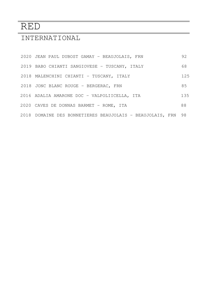# RED

### INTERNATIONAL

| 2020 JEAN PAUL DUBOST GAMAY - BEAUJOLAIS, FRN             | 92   |
|-----------------------------------------------------------|------|
| 2019 BABO CHIANTI SANGIOVESE - TUSCANY, ITALY             | 68   |
| 2018 MALENCHINI CHIANTI - TUSCANY, ITALY                  | 125  |
| 2018 JONC BLANC ROUGE - BERGERAC, FRN                     | 85   |
| 2016 ADALIA AMARONE DOC - VALPOLIICELLA, ITA              | 135  |
| 2020 CAVES DE DONNAS BARMET - ROME, ITA                   | 88   |
| 2018 DOMAINE DES BONNETIERES BEAUJOLAIS - BEAUJOLAIS, FRN | - 98 |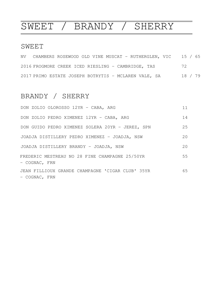# SWEET / BRANDY / SHERRY

#### SWEET

|  | NV CHAMBERS ROSEWOOD OLD VINE MUSCAT - RUTHERGLEN, VIC 15 / 65 |  |  |         |  |
|--|----------------------------------------------------------------|--|--|---------|--|
|  | 2016 FROGMORE CREEK ICED RIESLING - CAMBRIDGE, TAS             |  |  | 72      |  |
|  | 2017 PRIMO ESTATE JOSEPH BOTRYTIS - MCLAREN VALE, SA           |  |  | 18 / 79 |  |

### BRANDY / SHERRY

| DON ZOLIO OLOROSSO 12YR - CABA, ARG                               | 11 |
|-------------------------------------------------------------------|----|
| DON ZOLIO PEDRO XIMENEZ 12YR - CABA, ARG                          | 14 |
| DON GUIDO PEDRO XIMENEZ SOLERA 20YR - JEREZ, SPN                  | 25 |
| JOADJA DISTILLERY PEDRO XIMENEZ - JOADJA, NSW                     | 20 |
| JOADJA DISTILLERY BRANDY - JOADJA, NSW                            | 20 |
| FREDERIC MESTREAU NO 28 FINE CHAMPAGNE 25/50YR<br>- COGNAC, FRN   | 55 |
| JEAN FILLIOUX GRANDE CHAMPAGNE 'CIGAR CLUB' 35YR<br>- COGNAC, FRN | 65 |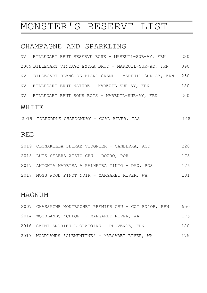# MONSTER'S RESERVE LIST

#### CHAMPAGNE AND SPARKLING

|    | NV BILLECART BRUT RESERVE ROSE - MAREUIL-SUR-AY, FRN    | 220 |
|----|---------------------------------------------------------|-----|
|    | 2009 BILLECART VINTAGE EXTRA BRUT - MAREUIL-SUR-AY, FRN | 390 |
|    | NV BILLECART BLANC DE BLANC GRAND - MAREUIL-SUR-AY, FRN | 250 |
| NV | BILLECART BRUT NATURE - MAREUIL-SUR-AY, FRN             | 180 |
| NV | BILLECART BRUT SOUS BOIS - MAREUIL-SUR-AY, FRN          | 200 |
|    |                                                         |     |

#### WHITE

|  |  | 2019 TOLPUDDLE CHARDONNAY - COAL RIVER, TAS |  |  |  |  |  |  |  |
|--|--|---------------------------------------------|--|--|--|--|--|--|--|
|--|--|---------------------------------------------|--|--|--|--|--|--|--|

#### RED

| 2019 CLONAKILLA SHIRAZ VIOGNIER - CANBERRA, ACT  | 220 |
|--------------------------------------------------|-----|
| 2015 LUIS SEABRA XISTO CRU - DOURO, POR          | 175 |
| 2017 ANTONIA MADEIRA A PALHEIRA TINTO - DAO, POS | 176 |
| 2017 MOSS WOOD PINOT NOIR - MARGARET RIVER, WA   | 181 |

#### MAGNUM

| 2007 CHASSAGNE MONTRACHET PREMIER CRU - COT ED'OR, FRN | 550 |
|--------------------------------------------------------|-----|
| 2014 WOODLANDS 'CHLOE' - MARGARET RIVER, WA            | 175 |
| 2016 SAINT ANDRIEU L'ORATOIRE - PROVENCE, FRN          | 180 |
| 2017 WOODLANDS 'CLEMENTINE' - MARGARET RIVER, WA       | 175 |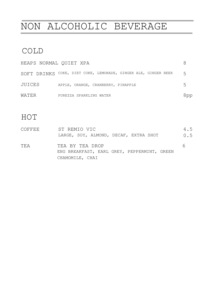# NON ALCOHOLIC BEVERAGE

### COLD

| HEAPS NORMAL QUIET XPA |                                                                |     |
|------------------------|----------------------------------------------------------------|-----|
|                        | SOFT DRINKS COKE, DIET COKE, LEMONADE, GINGER ALE, GINGER BEER | 5   |
| JUICES                 | APPLE, ORANGE, CRANBERRY, PINAPPLE                             | 5   |
| WATER                  | PUREZZA SPARKLING WATER                                        | dpp |

### HOT

| COFFEE | ST REMIO VIC<br>LARGE, SOY, ALMOND, DECAF, EXTRA SHOT                             | 4.5<br>0.5 |
|--------|-----------------------------------------------------------------------------------|------------|
| TEA    | TEA BY TEA DROP<br>ENG BREAKFAST, EARL GREY, PEPPERMINT, GREEN<br>CHAMOMILE, CHAI | h          |